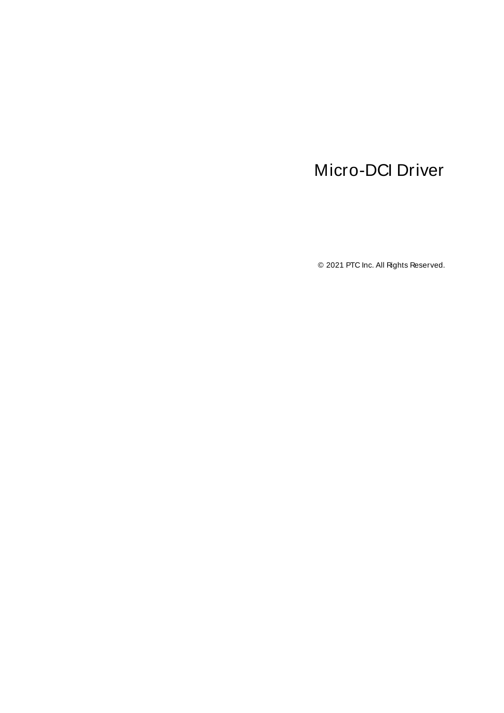# <span id="page-0-0"></span>Micro-DCI Driver

© 2021 PTC Inc. All Rights Reserved.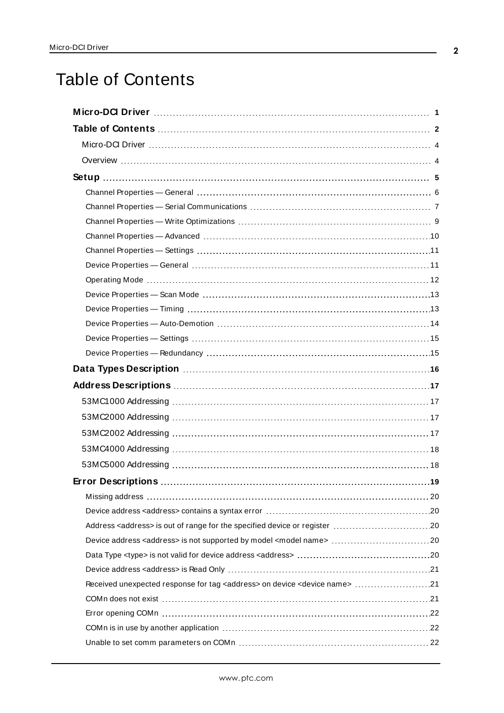# <span id="page-1-0"></span>Table of Contents

| <b>Error Descriptions</b>                                                                       | .19 |
|-------------------------------------------------------------------------------------------------|-----|
|                                                                                                 |     |
|                                                                                                 |     |
|                                                                                                 |     |
|                                                                                                 |     |
|                                                                                                 |     |
| Received unexpected response for tag <address> on device <device name=""> 21</device></address> |     |
|                                                                                                 |     |
|                                                                                                 |     |
|                                                                                                 |     |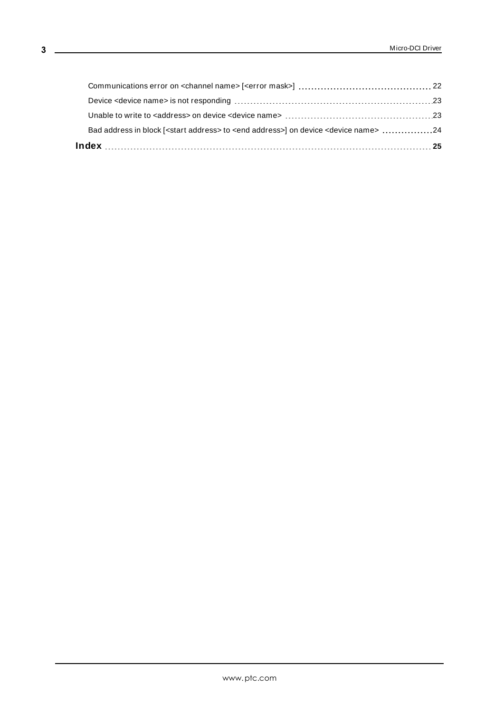| Bad address in block [ <start address=""> to <end address="">] on device <device name=""> 24</device></end></start> |  |
|---------------------------------------------------------------------------------------------------------------------|--|
|                                                                                                                     |  |
|                                                                                                                     |  |
|                                                                                                                     |  |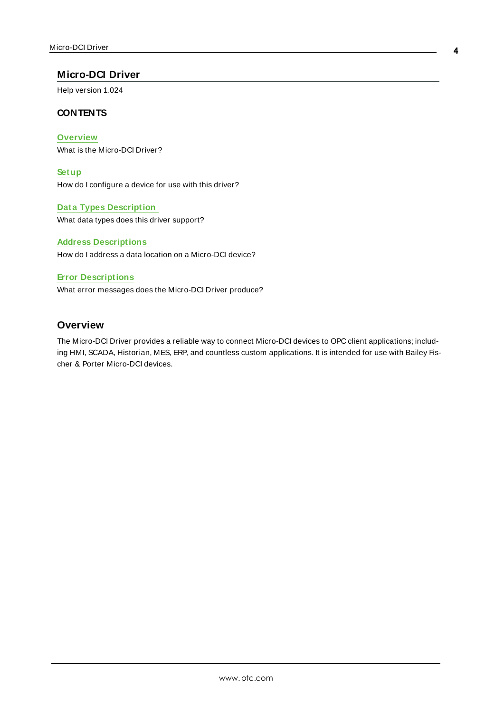# <span id="page-3-0"></span>**Micro-DCI Driver**

Help version 1.024

# **CONTENTS**

**[Overview](#page-3-1)** What is the Micro-DCI Driver?

**[Setup](#page-4-0)** How do I configure a device for use with this driver?

**Data Types [Description](#page-15-0)** What data types does this driver support?

#### **Address [Descriptions](#page-16-0)**

How do I address a data location on a Micro-DCI device?

#### **Error [Descriptions](#page-18-0)**

What error messages does the Micro-DCI Driver produce?

## <span id="page-3-1"></span>**Overview**

The Micro-DCI Driver provides a reliable way to connect Micro-DCI devices to OPC client applications; including HMI, SCADA, Historian, MES, ERP, and countless custom applications. It is intended for use with Bailey Fischer & Porter Micro-DCI devices.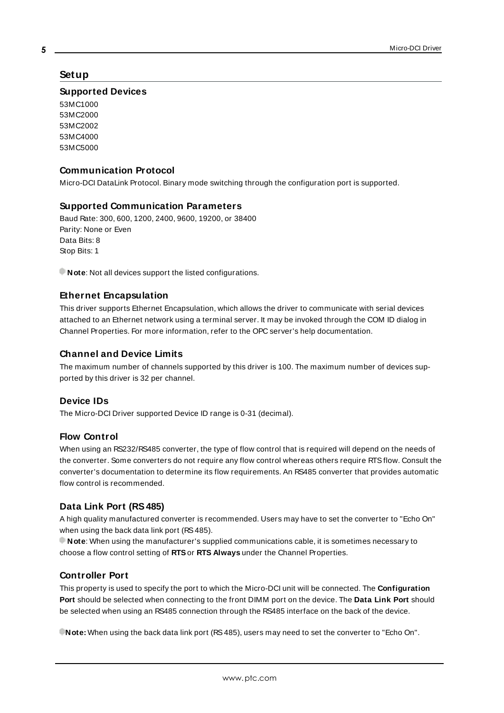# <span id="page-4-0"></span>**Setup**

#### **Supported Devices**

53MC1000 53MC2000 53MC2002 53MC4000 53MC5000

# **Communication Protocol**

Micro-DCI DataLink Protocol. Binary mode switching through the configuration port is supported.

## <span id="page-4-1"></span>**Supported Communication Parameters**

<span id="page-4-6"></span><span id="page-4-5"></span><span id="page-4-2"></span>Baud Rate: 300, 600, 1200, 2400, 9600, 19200, or 38400 Parity: None or Even Data Bits: 8 Stop Bits: 1

**Note:** Not all devices support the listed configurations.

## <span id="page-4-4"></span>**Ethernet Encapsulation**

This driver supports Ethernet Encapsulation, which allows the driver to communicate with serial devices attached to an Ethernet network using a terminal server. It may be invoked through the COM ID dialog in Channel Properties. For more information, refer to the OPC server's help documentation.

## **Channel and Device Limits**

The maximum number of channels supported by this driver is 100. The maximum number of devices supported by this driver is 32 per channel.

#### <span id="page-4-3"></span>**Device IDs**

The Micro-DCI Driver supported Device ID range is 0-31 (decimal).

#### **Flow Control**

When using an RS232/RS485 converter, the type of flow control that is required will depend on the needs of the converter. Some converters do not require any flow control whereas others require RTSflow. Consult the converter's documentation to determine its flow requirements. An RS485 converter that provides automatic flow control is recommended.

# **Data Link Port (RS485)**

A high quality manufactured converter is recommended. Users may have to set the converter to "Echo On" when using the back data link port (RS485).

**Note**: When using the manufacturer's supplied communications cable, it is sometimes necessary to choose a flow control setting of **RTS**or **RTS Always** under the Channel Properties.

# **Controller Port**

This property is used to specify the port to which the Micro-DCI unit will be connected. The **Configuration Port** should be selected when connecting to the front DIMM port on the device. The **Data Link Port** should be selected when using an RS485 connection through the RS485 interface on the back of the device.

**Note:** When using the back data link port (RS485), users may need to set the converter to "Echo On".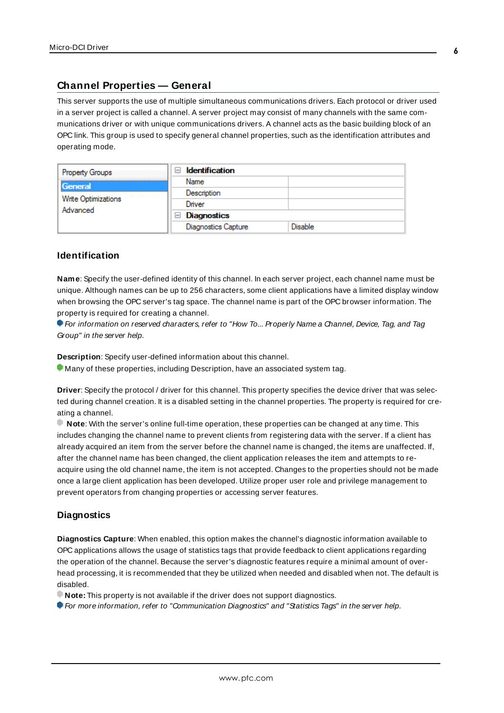# <span id="page-5-0"></span>**Channel Properties — General**

This server supports the use of multiple simultaneous communications drivers. Each protocol or driver used in a server project is called a channel. A server project may consist of many channels with the same communications driver or with unique communications drivers. A channel acts as the basic building block of an OPC link. This group is used to specify general channel properties, such as the identification attributes and operating mode.

| <b>Property Groups</b><br>General<br>Write Optimizations<br>Advanced | <b>Identification</b><br>$\equiv$ |                |
|----------------------------------------------------------------------|-----------------------------------|----------------|
|                                                                      | Name                              |                |
|                                                                      | Description                       |                |
|                                                                      | Driver                            |                |
|                                                                      | $\Box$ Diagnostics                |                |
|                                                                      | <b>Diagnostics Capture</b>        | <b>Disable</b> |

# **Identification**

**Name**: Specify the user-defined identity of this channel. In each server project, each channel name must be unique. Although names can be up to 256 characters, some client applications have a limited display window when browsing the OPC server's tag space. The channel name is part of the OPC browser information. The property is required for creating a channel.

For information on reserved characters, refer to "How To... Properly Name a Channel, Device, Tag, and Tag Group" in the server help.

**Description**: Specify user-defined information about this channel.

Many of these properties, including Description, have an associated system tag.

**Driver**: Specify the protocol / driver for this channel. This property specifies the device driver that was selected during channel creation. It is a disabled setting in the channel properties. The property is required for creating a channel.

**Note**: With the server's online full-time operation, these properties can be changed at any time. This includes changing the channel name to prevent clients from registering data with the server. If a client has already acquired an item from the server before the channel name is changed, the items are unaffected. If, after the channel name has been changed, the client application releases the item and attempts to reacquire using the old channel name, the item is not accepted. Changes to the properties should not be made once a large client application has been developed. Utilize proper user role and privilege management to prevent operators from changing properties or accessing server features.

#### **Diagnostics**

**Diagnostics Capture**: When enabled, this option makes the channel's diagnostic information available to OPC applications allows the usage of statistics tags that provide feedback to client applications regarding the operation of the channel. Because the server's diagnostic features require a minimal amount of overhead processing, it is recommended that they be utilized when needed and disabled when not. The default is disabled.

**Note:** This property is not available if the driver does not support diagnostics.

For more information, refer to "Communication Diagnostics" and "Statistics Tags" in the server help.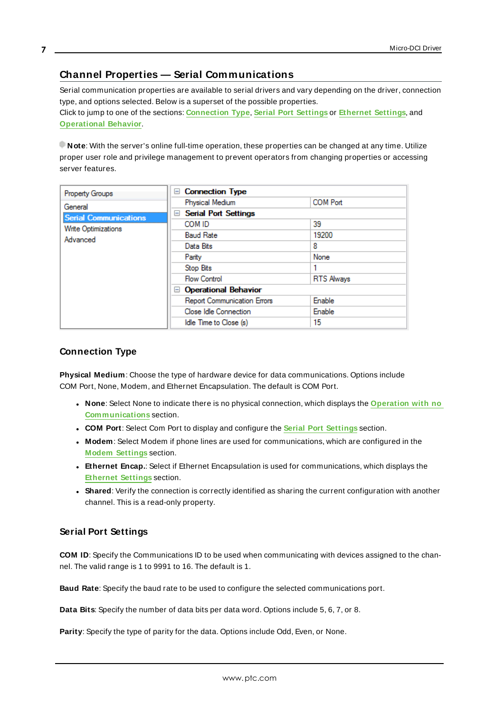# <span id="page-6-0"></span>**Channel Properties — Serial Communications**

Serial communication properties are available to serial drivers and vary depending on the driver, connection type, and options selected. Below is a superset of the possible properties. Click to jump to one of the sections: **[Connection](#page-6-1) Type**, **Serial Port [Settings](#page-6-2)** or **[Ethernet](#page-7-0) Settings**, and **[Operational](#page-7-1) Behavior**.

**Note**: With the server's online full-time operation, these properties can be changed at any time. Utilize proper user role and privilege management to prevent operators from changing properties or accessing server features.

| <b>Property Groups</b>       | <b>Connection Type</b><br>$-$           |                   |  |
|------------------------------|-----------------------------------------|-------------------|--|
| General                      | Physical Medium                         | <b>COM Port</b>   |  |
| <b>Serial Communications</b> | <b>Serial Port Settings</b><br>$\equiv$ |                   |  |
| Write Optimizations          | COM ID                                  | 39                |  |
| Advanced                     | <b>Baud Rate</b>                        | 19200             |  |
|                              | Data Bits                               | 8                 |  |
|                              | Parity                                  | None              |  |
|                              | Stop Bits                               |                   |  |
|                              | <b>Flow Control</b>                     | <b>RTS Always</b> |  |
|                              | □ Operational Behavior                  |                   |  |
|                              | <b>Report Communication Errors</b>      | Enable            |  |
|                              | Close Idle Connection                   | Enable            |  |
|                              | Idle Time to Close (s)                  | 15                |  |

## <span id="page-6-1"></span>**Connection Type**

**Physical Medium**: Choose the type of hardware device for data communications. Options include COM Port, None, Modem, and Ethernet Encapsulation. The default is COM Port.

- <sup>l</sup> **None**: Select None to indicate there is no physical connection, which displays the **[Operation](#page-8-1) with no [Communications](#page-8-1)** section.
- <sup>l</sup> **COM Port**: Select Com Port to display and configure the **Serial Port [Settings](#page-6-2)** section.
- **Modem**: Select Modem if phone lines are used for communications, which are configured in the **Modem [Settings](#page-8-2)** section.
- **Ethernet Encap.**: Select if Ethernet Encapsulation is used for communications, which displays the **[Ethernet](#page-7-0) Settings** section.
- **Shared**: Verify the connection is correctly identified as sharing the current configuration with another channel. This is a read-only property.

#### <span id="page-6-2"></span>**Serial Port Settings**

**COM ID**: Specify the Communications ID to be used when communicating with devices assigned to the channel. The valid range is 1 to 9991 to 16. The default is 1.

**Baud Rate**: Specify the baud rate to be used to configure the selected communications port.

**Data Bits**: Specify the number of data bits per data word. Options include 5, 6, 7, or 8.

**Parity**: Specify the type of parity for the data. Options include Odd, Even, or None.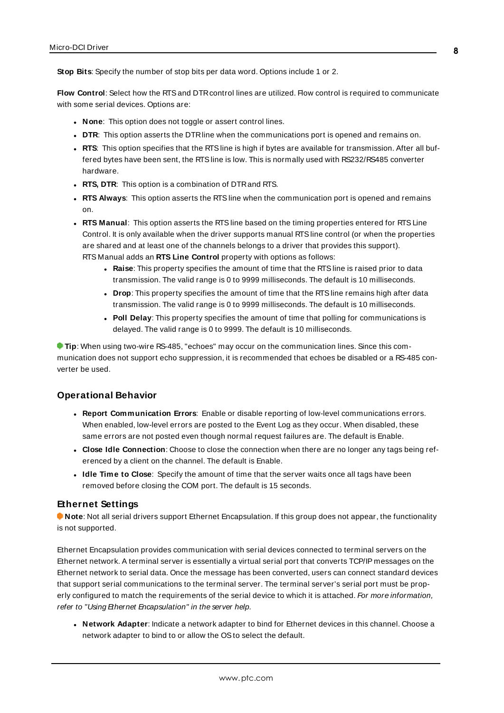**Stop Bits**: Specify the number of stop bits per data word. Options include 1 or 2.

**Flow Control**: Select how the RTSand DTRcontrol lines are utilized. Flow control is required to communicate with some serial devices. Options are:

- **None:** This option does not toggle or assert control lines.
- **DTR:** This option asserts the DTR line when the communications port is opened and remains on.
- **RTS:** This option specifies that the RTS line is high if bytes are available for transmission. After all buffered bytes have been sent, the RTSline is low. This is normally used with RS232/RS485 converter hardware.
- **RTS, DTR:** This option is a combination of DTR and RTS.
- <sup>l</sup> **RTS Always**: This option asserts the RTSline when the communication port is opened and remains on.
- <sup>l</sup> **RTS Manual**: This option asserts the RTSline based on the timing properties entered for RTSLine Control. It is only available when the driver supports manual RTSline control (or when the properties are shared and at least one of the channels belongs to a driver that provides this support). RTS Manual adds an **RTS Line Control** property with options as follows:
	- **Raise**: This property specifies the amount of time that the RTS line is raised prior to data transmission. The valid range is 0 to 9999 milliseconds. The default is 10 milliseconds.
	- **Drop**: This property specifies the amount of time that the RTS line remains high after data transmission. The valid range is 0 to 9999 milliseconds. The default is 10 milliseconds.
	- **Poll Delay**: This property specifies the amount of time that polling for communications is delayed. The valid range is 0 to 9999. The default is 10 milliseconds.

**Tip**: When using two-wire RS-485, "echoes" may occur on the communication lines. Since this communication does not support echo suppression, it is recommended that echoes be disabled or a RS-485 converter be used.

#### <span id="page-7-1"></span>**Operational Behavior**

- <sup>l</sup> **Report Communication Errors**: Enable or disable reporting of low-level communications errors. When enabled, low-level errors are posted to the Event Log as they occur. When disabled, these same errors are not posted even though normal request failures are. The default is Enable.
- <sup>l</sup> **Close Idle Connection**: Choose to close the connection when there are no longer any tags being referenced by a client on the channel. The default is Enable.
- **.** Idle Time to Close: Specify the amount of time that the server waits once all tags have been removed before closing the COM port. The default is 15 seconds.

#### <span id="page-7-0"></span>**Ethernet Settings**

**Note**: Not all serial drivers support Ethernet Encapsulation. If this group does not appear, the functionality is not supported.

Ethernet Encapsulation provides communication with serial devices connected to terminal servers on the Ethernet network. A terminal server is essentially a virtual serial port that converts TCP/IP messages on the Ethernet network to serial data. Once the message has been converted, users can connect standard devices that support serial communications to the terminal server. The terminal server's serial port must be properly configured to match the requirements of the serial device to which it is attached. For more information, refer to "Using Ethernet Encapsulation" in the server help.

<sup>l</sup> **Network Adapter**: Indicate a network adapter to bind for Ethernet devices in this channel. Choose a network adapter to bind to or allow the OSto select the default.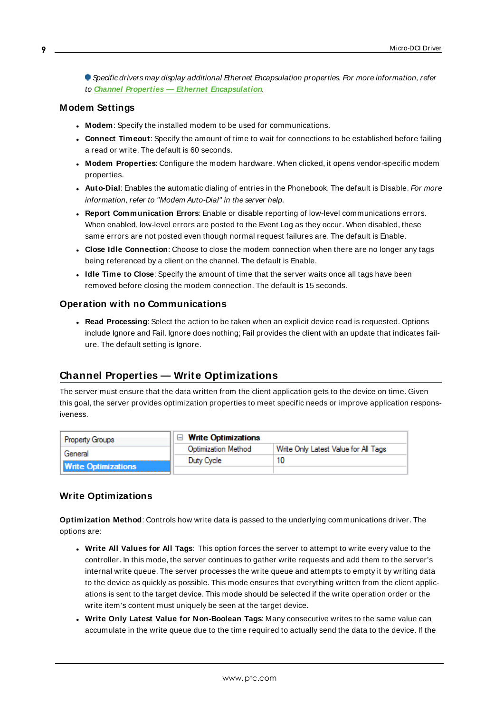Specific drivers may display additional Ethernet Encapsulation properties. For more information, refer to **Channel Properties — Ethernet Encapsulation**.

## <span id="page-8-2"></span>**Modem Settings**

- **Modem**: Specify the installed modem to be used for communications.
- **Connect Timeout**: Specify the amount of time to wait for connections to be established before failing a read or write. The default is 60 seconds.
- <sup>l</sup> **Modem Properties**: Configure the modem hardware. When clicked, it opens vendor-specific modem properties.
- **Auto-Dial**: Enables the automatic dialing of entries in the Phonebook. The default is Disable. For more information, refer to "Modem Auto-Dial" in the server help.
- <sup>l</sup> **Report Communication Errors**: Enable or disable reporting of low-level communications errors. When enabled, low-level errors are posted to the Event Log as they occur. When disabled, these same errors are not posted even though normal request failures are. The default is Enable.
- **Close Idle Connection**: Choose to close the modem connection when there are no longer any tags being referenced by a client on the channel. The default is Enable.
- <sup>l</sup> **Idle Time to Close**: Specify the amount of time that the server waits once all tags have been removed before closing the modem connection. The default is 15 seconds.

#### <span id="page-8-1"></span>**Operation with no Communications**

**Read Processing**: Select the action to be taken when an explicit device read is requested. Options include Ignore and Fail. Ignore does nothing; Fail provides the client with an update that indicates failure. The default setting is Ignore.

# <span id="page-8-0"></span>**Channel Properties — Write Optimizations**

The server must ensure that the data written from the client application gets to the device on time. Given this goal, the server provides optimization properties to meet specific needs or improve application responsiveness.

| <b>Property Groups</b>     | $\Box$ Write Optimizations |                                      |
|----------------------------|----------------------------|--------------------------------------|
| General                    | Optimization Method        | Write Only Latest Value for All Tags |
|                            | Duty Cycle                 |                                      |
| <b>Write Optimizations</b> |                            |                                      |

#### **Write Optimizations**

**Optimization Method**: Controls how write data is passed to the underlying communications driver. The options are:

- <sup>l</sup> **Write All Values for All Tags**: This option forces the server to attempt to write every value to the controller. In this mode, the server continues to gather write requests and add them to the server's internal write queue. The server processes the write queue and attempts to empty it by writing data to the device as quickly as possible. This mode ensures that everything written from the client applications is sent to the target device. This mode should be selected if the write operation order or the write item's content must uniquely be seen at the target device.
- <sup>l</sup> **Write Only Latest Value for Non-Boolean Tags**: Many consecutive writes to the same value can accumulate in the write queue due to the time required to actually send the data to the device. If the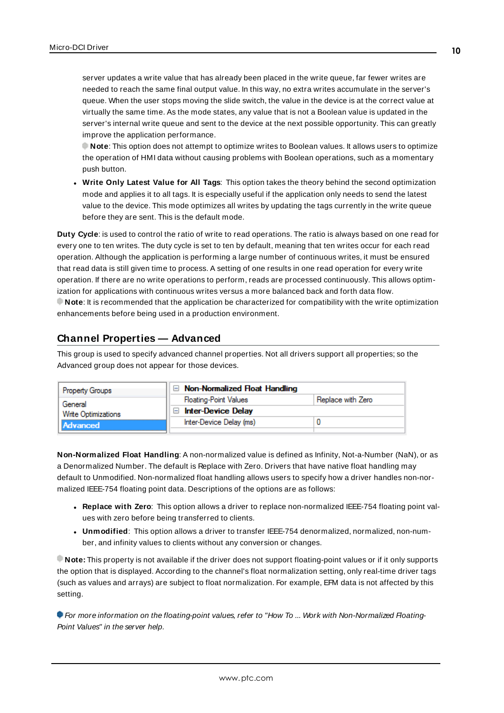server updates a write value that has already been placed in the write queue, far fewer writes are needed to reach the same final output value. In this way, no extra writes accumulate in the server's queue. When the user stops moving the slide switch, the value in the device is at the correct value at virtually the same time. As the mode states, any value that is not a Boolean value is updated in the server's internal write queue and sent to the device at the next possible opportunity. This can greatly improve the application performance.

**Note**: This option does not attempt to optimize writes to Boolean values. It allows users to optimize the operation of HMI data without causing problems with Boolean operations, such as a momentary push button.

<sup>l</sup> **Write Only Latest Value for All Tags**: This option takes the theory behind the second optimization mode and applies it to all tags. It is especially useful if the application only needs to send the latest value to the device. This mode optimizes all writes by updating the tags currently in the write queue before they are sent. This is the default mode.

**Duty Cycle**: is used to control the ratio of write to read operations. The ratio is always based on one read for every one to ten writes. The duty cycle is set to ten by default, meaning that ten writes occur for each read operation. Although the application is performing a large number of continuous writes, it must be ensured that read data is still given time to process. A setting of one results in one read operation for every write operation. If there are no write operations to perform, reads are processed continuously. This allows optimization for applications with continuous writes versus a more balanced back and forth data flow. **Note**: It is recommended that the application be characterized for compatibility with the write optimization enhancements before being used in a production environment.

# <span id="page-9-0"></span>**Channel Properties — Advanced**

This group is used to specify advanced channel properties. Not all drivers support all properties; so the Advanced group does not appear for those devices.

| <b>Property Groups</b>                                   | $\Box$ Non-Normalized Float Handling |                   |
|----------------------------------------------------------|--------------------------------------|-------------------|
| General<br><b>Write Optimizations</b><br><b>Advanced</b> | <b>Floating-Point Values</b>         | Replace with Zero |
|                                                          | <b>Inter-Device Delay</b>            |                   |
|                                                          | Inter-Device Delay (ms)              |                   |
|                                                          |                                      |                   |

**Non-Normalized Float Handling**: A non-normalized value is defined as Infinity, Not-a-Number (NaN), or as a Denormalized Number. The default is Replace with Zero. Drivers that have native float handling may default to Unmodified. Non-normalized float handling allows users to specify how a driver handles non-normalized IEEE-754 floating point data. Descriptions of the options are as follows:

- <sup>l</sup> **Replace with Zero**: This option allows a driver to replace non-normalized IEEE-754 floating point values with zero before being transferred to clients.
- <sup>l</sup> **Unmodified**: This option allows a driver to transfer IEEE-754 denormalized, normalized, non-number, and infinity values to clients without any conversion or changes.

**Note:** This property is not available if the driver does not support floating-point values or if it only supports the option that is displayed. According to the channel's float normalization setting, only real-time driver tags (such as values and arrays) are subject to float normalization. For example, EFM data is not affected by this setting.

For more information on the floating-point values, refer to "How To ... Work with Non-Normalized Floating-Point Values" in the server help.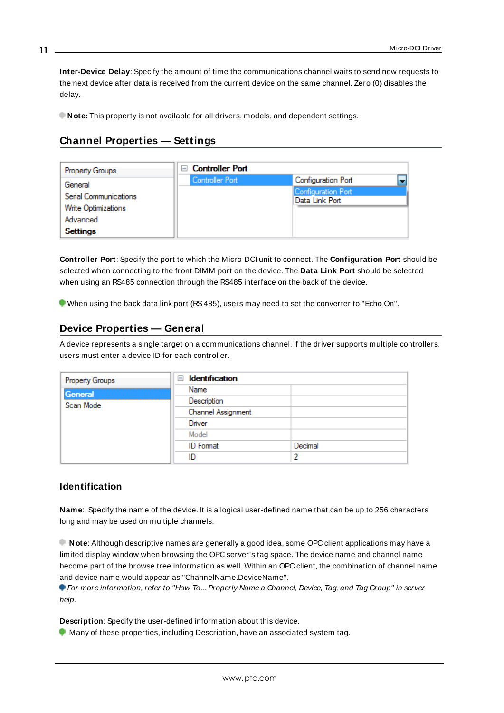**Inter-Device Delay**: Specify the amount of time the communications channel waits to send new requests to the next device after data is received from the current device on the same channel. Zero (0) disables the delay.

<span id="page-10-0"></span>**Note:** This property is not available for all drivers, models, and dependent settings.

# **Channel Properties — Settings**

| Property Groups                              | <b>Controller Port</b> |                                      |
|----------------------------------------------|------------------------|--------------------------------------|
| General                                      | Controller Port        | Configuration Port                   |
| Serial Communications<br>Write Optimizations |                        | Configuration Port<br>Data Link Port |
| Advanced                                     |                        |                                      |
| <b>Settings</b>                              |                        |                                      |

**Controller Port**: Specify the port to which the Micro-DCI unit to connect. The **Configuration Port** should be selected when connecting to the front DIMM port on the device. The **Data Link Port** should be selected when using an RS485 connection through the RS485 interface on the back of the device.

<span id="page-10-1"></span>When using the back data link port (RS485), users may need to set the converter to "Echo On".

# **Device Properties — General**

A device represents a single target on a communications channel. If the driver supports multiple controllers, users must enter a device ID for each controller.

| Property Groups | <b>Identification</b><br>$\equiv$ |         |
|-----------------|-----------------------------------|---------|
| General         | Name                              |         |
| Scan Mode       | Description                       |         |
|                 | Channel Assignment                |         |
|                 | Driver                            |         |
|                 | Model                             |         |
|                 | <b>ID</b> Format                  | Decimal |
|                 | ID                                |         |
|                 |                                   |         |

## <span id="page-10-2"></span>**Identification**

**Name**: Specify the name of the device. It is a logical user-defined name that can be up to 256 characters long and may be used on multiple channels.

**Note**: Although descriptive names are generally a good idea, some OPC client applications may have a limited display window when browsing the OPC server's tag space. The device name and channel name become part of the browse tree information as well. Within an OPC client, the combination of channel name and device name would appear as "ChannelName.DeviceName".

For more information, refer to "How To... Properly Name a Channel, Device, Tag, and Tag Group" in server help.

**Description**: Specify the user-defined information about this device.

**Many of these properties, including Description, have an associated system tag.** 

**11**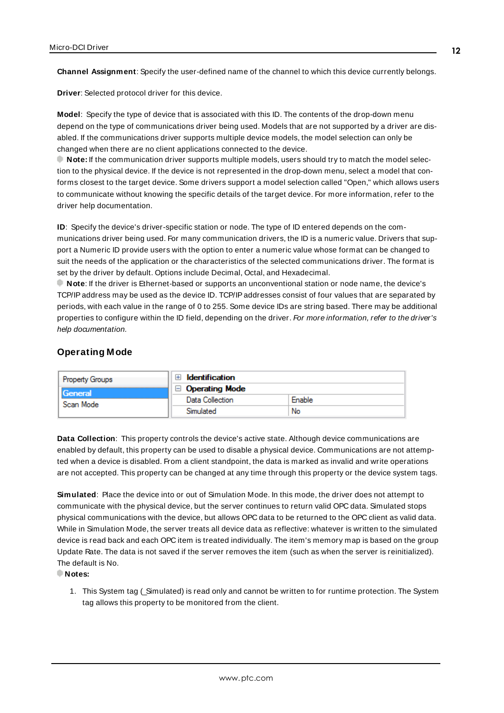<span id="page-11-3"></span><span id="page-11-1"></span>**Channel Assignment**: Specify the user-defined name of the channel to which this device currently belongs.

<span id="page-11-5"></span>**Driver**: Selected protocol driver for this device.

**Model**: Specify the type of device that is associated with this ID. The contents of the drop-down menu depend on the type of communications driver being used. Models that are not supported by a driver are disabled. If the communications driver supports multiple device models, the model selection can only be changed when there are no client applications connected to the device.

**Note:** If the communication driver supports multiple models, users should try to match the model selection to the physical device. If the device is not represented in the drop-down menu, select a model that conforms closest to the target device. Some drivers support a model selection called "Open," which allows users to communicate without knowing the specific details of the target device. For more information, refer to the driver help documentation.

<span id="page-11-4"></span>**ID**: Specify the device's driver-specific station or node. The type of ID entered depends on the communications driver being used. For many communication drivers, the ID is a numeric value. Drivers that support a Numeric ID provide users with the option to enter a numeric value whose format can be changed to suit the needs of the application or the characteristics of the selected communications driver. The format is set by the driver by default. Options include Decimal, Octal, and Hexadecimal.

**Note**: If the driver is Ethernet-based or supports an unconventional station or node name, the device's TCP/IPaddress may be used as the device ID. TCP/IPaddresses consist of four values that are separated by periods, with each value in the range of 0 to 255. Some device IDs are string based. There may be additional properties to configure within the ID field, depending on the driver. For more information, refer to the driver's help documentation.

## <span id="page-11-0"></span>**Operating Mode**

| Property Groups             | <b>Identification</b>            |        |
|-----------------------------|----------------------------------|--------|
| <b>General</b><br>Scan Mode | Operating Mode<br>$\overline{ }$ |        |
|                             | Data Collection                  | Enable |
|                             | Simulated                        | No     |

<span id="page-11-2"></span>**Data Collection**: This property controls the device's active state. Although device communications are enabled by default, this property can be used to disable a physical device. Communications are not attempted when a device is disabled. From a client standpoint, the data is marked as invalid and write operations are not accepted. This property can be changed at any time through this property or the device system tags.

<span id="page-11-6"></span>**Simulated**: Place the device into or out of Simulation Mode. In this mode, the driver does not attempt to communicate with the physical device, but the server continues to return valid OPC data. Simulated stops physical communications with the device, but allows OPC data to be returned to the OPC client as valid data. While in Simulation Mode, the server treats all device data as reflective: whatever is written to the simulated device is read back and each OPC item is treated individually. The item's memory map is based on the group Update Rate. The data is not saved if the server removes the item (such as when the server is reinitialized). The default is No.

**Notes:**

1. This System tag (\_Simulated) is read only and cannot be written to for runtime protection. The System tag allows this property to be monitored from the client.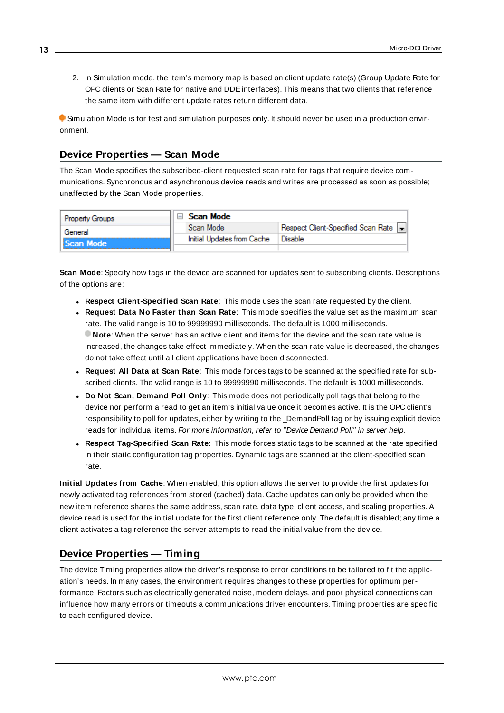2. In Simulation mode, the item's memory map is based on client update rate(s) (Group Update Rate for OPC clients or Scan Rate for native and DDEinterfaces). This means that two clients that reference the same item with different update rates return different data.

 Simulation Mode is for test and simulation purposes only. It should never be used in a production environment.

# <span id="page-12-0"></span>**Device Properties — Scan Mode**

The Scan Mode specifies the subscribed-client requested scan rate for tags that require device communications. Synchronous and asynchronous device reads and writes are processed as soon as possible; unaffected by the Scan Mode properties.

| <b>Property Groups</b> | Scan Mode                  |                                    |
|------------------------|----------------------------|------------------------------------|
| General                | Scan Mode                  | Respect Client-Specified Scan Rate |
| Scan Mode              | Initial Updates from Cache | Disable                            |
|                        |                            |                                    |

<span id="page-12-6"></span>**Scan Mode**: Specify how tags in the device are scanned for updates sent to subscribing clients. Descriptions of the options are:

- <sup>l</sup> **Respect Client-Specified Scan Rate**: This mode uses the scan rate requested by the client.
- <sup>l</sup> **Request Data No Faster than Scan Rate**: This mode specifies the value set as the maximum scan rate. The valid range is 10 to 99999990 milliseconds. The default is 1000 milliseconds. **Note**: When the server has an active client and items for the device and the scan rate value is increased, the changes take effect immediately. When the scan rate value is decreased, the changes do not take effect until all client applications have been disconnected.
- <span id="page-12-3"></span><sup>l</sup> **Request All Data at Scan Rate**: This mode forces tags to be scanned at the specified rate for subscribed clients. The valid range is 10 to 99999990 milliseconds. The default is 1000 milliseconds.
- <sup>l</sup> **Do Not Scan, Demand Poll Only**: This mode does not periodically poll tags that belong to the device nor perform a read to get an item's initial value once it becomes active. It is the OPC client's responsibility to poll for updates, either by writing to the \_DemandPoll tag or by issuing explicit device reads for individual items. For more information, refer to "Device Demand Poll" in server help.
- <span id="page-12-5"></span><sup>l</sup> **Respect Tag-Specified Scan Rate**: This mode forces static tags to be scanned at the rate specified in their static configuration tag properties. Dynamic tags are scanned at the client-specified scan rate.

<span id="page-12-4"></span>**Initial Updates from Cache**: When enabled, this option allows the server to provide the first updates for newly activated tag references from stored (cached) data. Cache updates can only be provided when the new item reference shares the same address, scan rate, data type, client access, and scaling properties. A device read is used for the initial update for the first client reference only. The default is disabled; any time a client activates a tag reference the server attempts to read the initial value from the device.

# <span id="page-12-2"></span><span id="page-12-1"></span>**Device Properties — Timing**

The device Timing properties allow the driver's response to error conditions to be tailored to fit the application's needs. In many cases, the environment requires changes to these properties for optimum performance. Factors such as electrically generated noise, modem delays, and poor physical connections can influence how many errors or timeouts a communications driver encounters. Timing properties are specific to each configured device.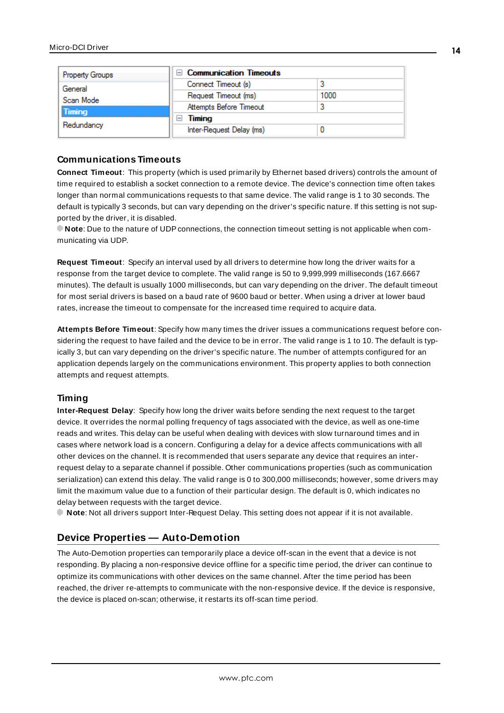| <b>Property Groups</b>                   | $\Box$ Communication Timeouts |      |
|------------------------------------------|-------------------------------|------|
| General                                  | Connect Timeout (s)           |      |
| Scan Mode<br><b>Timing</b><br>Redundancy | Request Timeout (ms)          | 1000 |
|                                          | Attempts Before Timeout       |      |
|                                          | Timing                        |      |
|                                          | Inter-Request Delay (ms)      |      |

## <span id="page-13-2"></span>**Communications Timeouts**

**Connect Timeout**: This property (which is used primarily by Ethernet based drivers) controls the amount of time required to establish a socket connection to a remote device. The device's connection time often takes longer than normal communications requests to that same device. The valid range is 1 to 30 seconds. The default is typically 3 seconds, but can vary depending on the driver's specific nature. If this setting is not supported by the driver, it is disabled.

**Note**: Due to the nature of UDPconnections, the connection timeout setting is not applicable when communicating via UDP.

<span id="page-13-4"></span>**Request Timeout**: Specify an interval used by all drivers to determine how long the driver waits for a response from the target device to complete. The valid range is 50 to 9,999,999 milliseconds (167.6667 minutes). The default is usually 1000 milliseconds, but can vary depending on the driver. The default timeout for most serial drivers is based on a baud rate of 9600 baud or better. When using a driver at lower baud rates, increase the timeout to compensate for the increased time required to acquire data.

<span id="page-13-1"></span>**Attempts Before Timeout**: Specify how many times the driver issues a communications request before considering the request to have failed and the device to be in error. The valid range is 1 to 10. The default is typically 3, but can vary depending on the driver's specific nature. The number of attempts configured for an application depends largely on the communications environment. This property applies to both connection attempts and request attempts.

#### <span id="page-13-3"></span>**Timing**

**Inter-Request Delay**: Specify how long the driver waits before sending the next request to the target device. It overrides the normal polling frequency of tags associated with the device, as well as one-time reads and writes. This delay can be useful when dealing with devices with slow turnaround times and in cases where network load is a concern. Configuring a delay for a device affects communications with all other devices on the channel. It is recommended that users separate any device that requires an interrequest delay to a separate channel if possible. Other communications properties (such as communication serialization) can extend this delay. The valid range is 0 to 300,000 milliseconds; however, some drivers may limit the maximum value due to a function of their particular design. The default is 0, which indicates no delay between requests with the target device.

<span id="page-13-0"></span>**Note**: Not all drivers support Inter-Request Delay. This setting does not appear if it is not available.

# **Device Properties — Auto-Demotion**

The Auto-Demotion properties can temporarily place a device off-scan in the event that a device is not responding. By placing a non-responsive device offline for a specific time period, the driver can continue to optimize its communications with other devices on the same channel. After the time period has been reached, the driver re-attempts to communicate with the non-responsive device. If the device is responsive, the device is placed on-scan; otherwise, it restarts its off-scan time period.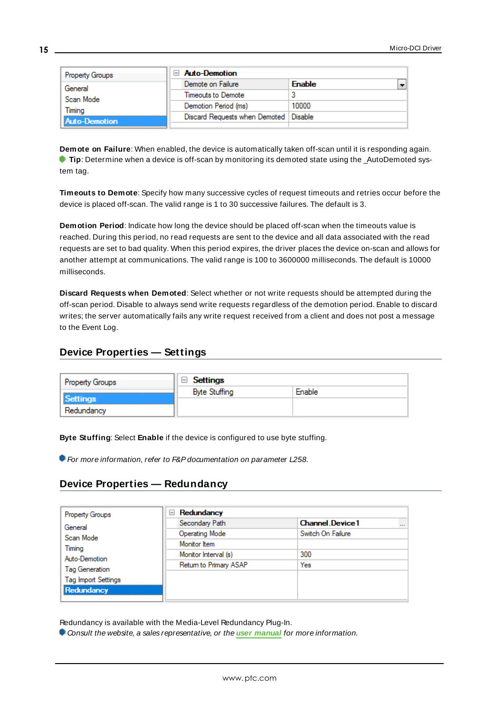| Property Groups      | <b>Auto-Demotion</b>                    |               |  |
|----------------------|-----------------------------------------|---------------|--|
| General              | Demote on Failure                       | <b>Enable</b> |  |
| Scan Mode            | Timeouts to Demote                      |               |  |
| Timina               | Demotion Period (ms)                    | 10000         |  |
| <b>Auto-Demotion</b> | Discard Requests when Demoted   Disable |               |  |
|                      |                                         |               |  |

<span id="page-14-2"></span>**Demote on Failure**: When enabled, the device is automatically taken off-scan until it is responding again. **Tip:** Determine when a device is off-scan by monitoring its demoted state using the \_AutoDemoted system tag.

<span id="page-14-5"></span>**Timeouts to Demote**: Specify how many successive cycles of request timeouts and retries occur before the device is placed off-scan. The valid range is 1 to 30 successive failures. The default is 3.

<span id="page-14-3"></span>**Demotion Period**: Indicate how long the device should be placed off-scan when the timeouts value is reached. During this period, no read requests are sent to the device and all data associated with the read requests are set to bad quality. When this period expires, the driver places the device on-scan and allows for another attempt at communications. The valid range is 100 to 3600000 milliseconds. The default is 10000 milliseconds.

<span id="page-14-4"></span>**Discard Requests when Demoted**: Select whether or not write requests should be attempted during the off-scan period. Disable to always send write requests regardless of the demotion period. Enable to discard writes; the server automatically fails any write request received from a client and does not post a message to the Event Log.

# <span id="page-14-0"></span>**Device Properties — Settings**

| <b>Property Groups</b> | Settings             |        |  |
|------------------------|----------------------|--------|--|
|                        | <b>Byte Stuffing</b> | Enable |  |
| Settings<br>Redundancy |                      |        |  |

**Byte Stuffing**: Select **Enable** if the device is configured to use byte stuffing.

<span id="page-14-1"></span>For more information, refer to F&P documentation on parameter L258.

# **Device Properties — Redundancy**

| <b>Property Groups</b>     | Redundancy<br>$=$      |                                    |  |  |
|----------------------------|------------------------|------------------------------------|--|--|
| General                    | Secondary Path         | <b>Channel Device1</b><br>$\cdots$ |  |  |
| Scan Mode                  | <b>Operating Mode</b>  | Switch On Failure                  |  |  |
| Timing                     | Monitor Item           |                                    |  |  |
| Auto-Demotion              | Monitor Interval (s)   | 300                                |  |  |
| <b>Tag Generation</b>      | Return to Primary ASAP | Yes                                |  |  |
| <b>Tag Import Settings</b> |                        |                                    |  |  |
| Redundancy                 |                        |                                    |  |  |
|                            |                        |                                    |  |  |

Redundancy is available with the Media-Level Redundancy Plug-In.

Consult the website, a sales representative, or the **user [manual](https://www.kepware.com/getattachment/35461efd-b53a-4219-a109-a89fad20b230/media-level-redundancy-manual.pdf)** for more information.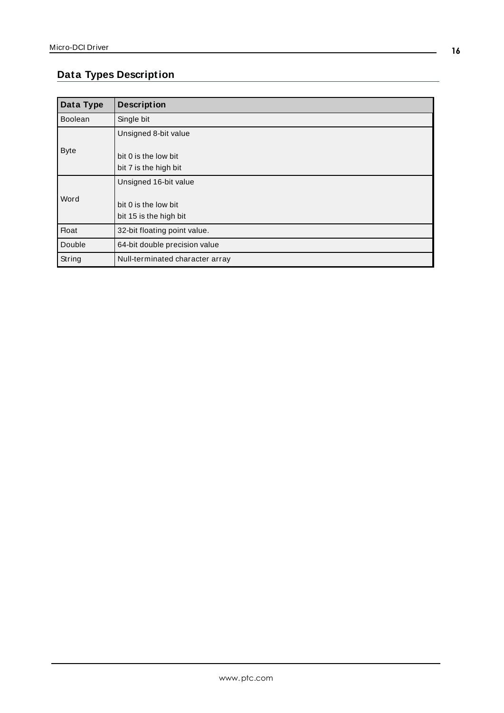# <span id="page-15-0"></span>**Data Types Description**

<span id="page-15-4"></span><span id="page-15-3"></span><span id="page-15-2"></span><span id="page-15-1"></span>

| Data Type      | <b>Description</b>              |
|----------------|---------------------------------|
| <b>Boolean</b> | Single bit                      |
|                | Unsigned 8-bit value            |
| <b>Byte</b>    |                                 |
|                | bit 0 is the low bit            |
|                | bit 7 is the high bit           |
|                | Unsigned 16-bit value           |
| Word           |                                 |
|                | bit 0 is the low bit            |
|                | bit 15 is the high bit          |
| <b>Float</b>   | 32-bit floating point value.    |
| Double         | 64-bit double precision value   |
| String         | Null-terminated character array |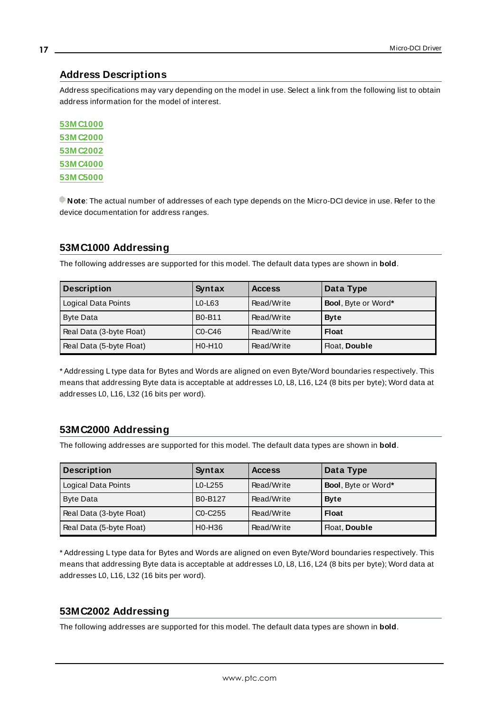# <span id="page-16-0"></span>**Address Descriptions**

Address specifications may vary depending on the model in use. Select a link from the following list to obtain address information for the model of interest.

**[53M C1000](#page-16-1) [53M C2000](#page-16-2) [53M C2002](#page-16-3) [53M C4000](#page-17-0) [53M C5000](#page-17-1)**

**Note**: The actual number of addresses of each type depends on the Micro-DCI device in use. Refer to the device documentation for address ranges.

# <span id="page-16-1"></span>**53MC1000 Addressing**

The following addresses are supported for this model. The default data types are shown in **bold**.

| <b>Description</b>       | Syntax                          | <b>Access</b> | Data Type                   |
|--------------------------|---------------------------------|---------------|-----------------------------|
| Logical Data Points      | $L0-L63$                        | Read/Write    | <b>Bool</b> , Byte or Word* |
| <b>Byte Data</b>         | <b>B0-B11</b>                   | Read/Write    | <b>Byte</b>                 |
| Real Data (3-byte Float) | $CO-C46$                        | Read/Write    | <b>Float</b>                |
| Real Data (5-byte Float) | H <sub>0</sub> -H <sub>10</sub> | Read/Write    | Float, Double               |

\* Addressing L type data for Bytes and Words are aligned on even Byte/Word boundaries respectively. This means that addressing Byte data is acceptable at addresses L0, L8, L16, L24 (8 bits per byte); Word data at addresses L0, L16, L32 (16 bits per word).

# <span id="page-16-2"></span>**53MC2000 Addressing**

The following addresses are supported for this model. The default data types are shown in **bold**.

| <b>Description</b>       | Syntax                           | <b>Access</b> | Data Type           |
|--------------------------|----------------------------------|---------------|---------------------|
| Logical Data Points      | $L0-L255$                        | Read/Write    | Bool, Byte or Word* |
| <b>Byte Data</b>         | B0-B127                          | Read/Write    | <b>Byte</b>         |
| Real Data (3-byte Float) | C <sub>0</sub> -C <sub>255</sub> | Read/Write    | <b>Float</b>        |
| Real Data (5-byte Float) | H <sub>0</sub> -H <sub>36</sub>  | Read/Write    | Float, Double       |

\* Addressing L type data for Bytes and Words are aligned on even Byte/Word boundaries respectively. This means that addressing Byte data is acceptable at addresses L0, L8, L16, L24 (8 bits per byte); Word data at addresses L0, L16, L32 (16 bits per word).

# <span id="page-16-3"></span>**53MC2002 Addressing**

The following addresses are supported for this model. The default data types are shown in **bold**.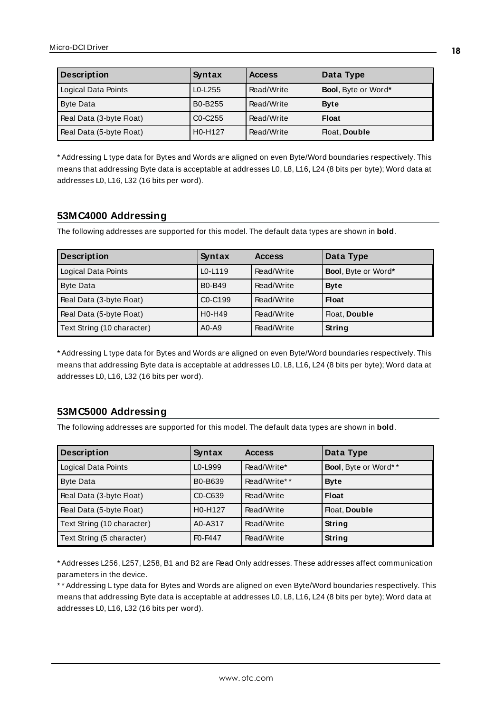| <b>Description</b>       | Syntax                           | <b>Access</b> | Data Type                   |
|--------------------------|----------------------------------|---------------|-----------------------------|
| Logical Data Points      | $L0-L255$                        | Read/Write    | <b>Bool</b> , Byte or Word* |
| <b>Byte Data</b>         | B0-B255                          | Read/Write    | <b>Byte</b>                 |
| Real Data (3-byte Float) | C <sub>0</sub> -C <sub>255</sub> | Read/Write    | <b>Float</b>                |
| Real Data (5-byte Float) | H <sub>0</sub> -H <sub>127</sub> | Read/Write    | Float, Double               |

\* Addressing L type data for Bytes and Words are aligned on even Byte/Word boundaries respectively. This means that addressing Byte data is acceptable at addresses L0, L8, L16, L24 (8 bits per byte); Word data at addresses L0, L16, L32 (16 bits per word).

# <span id="page-17-0"></span>**53MC4000 Addressing**

The following addresses are supported for this model. The default data types are shown in **bold**.

| <b>Description</b>         | Syntax                           | <b>Access</b> | Data Type                   |
|----------------------------|----------------------------------|---------------|-----------------------------|
| Logical Data Points        | $L0-L119$                        | Read/Write    | <b>Bool</b> , Byte or Word* |
| <b>Byte Data</b>           | B0-B49                           | Read/Write    | <b>Byte</b>                 |
| Real Data (3-byte Float)   | C <sub>0</sub> -C <sub>199</sub> | Read/Write    | <b>Float</b>                |
| Real Data (5-byte Float)   | H <sub>0</sub> -H <sub>49</sub>  | Read/Write    | Float, Double               |
| Text String (10 character) | $A0 - A9$                        | Read/Write    | String                      |

\* Addressing L type data for Bytes and Words are aligned on even Byte/Word boundaries respectively. This means that addressing Byte data is acceptable at addresses L0, L8, L16, L24 (8 bits per byte); Word data at addresses L0, L16, L32 (16 bits per word).

# <span id="page-17-1"></span>**53MC5000 Addressing**

The following addresses are supported for this model. The default data types are shown in **bold**.

| <b>Description</b>         | Syntax                           | <b>Access</b> | Data Type            |
|----------------------------|----------------------------------|---------------|----------------------|
| Logical Data Points        | L0-L999                          | Read/Write*   | Bool, Byte or Word** |
| <b>Byte Data</b>           | B0-B639                          | Read/Write**  | <b>Byte</b>          |
| Real Data (3-byte Float)   | C <sub>0</sub> -C <sub>639</sub> | Read/Write    | <b>Float</b>         |
| Real Data (5-byte Float)   | H0-H127                          | Read/Write    | Float, Double        |
| Text String (10 character) | A0-A317                          | Read/Write    | String               |
| Text String (5 character)  | F <sub>0</sub> -F <sub>447</sub> | Read/Write    | String               |

\* Addresses L256, L257, L258, B1 and B2 are Read Only addresses. These addresses affect communication parameters in the device.

\*\* Addressing L type data for Bytes and Words are aligned on even Byte/Word boundaries respectively. This means that addressing Byte data is acceptable at addresses L0, L8, L16, L24 (8 bits per byte); Word data at addresses L0, L16, L32 (16 bits per word).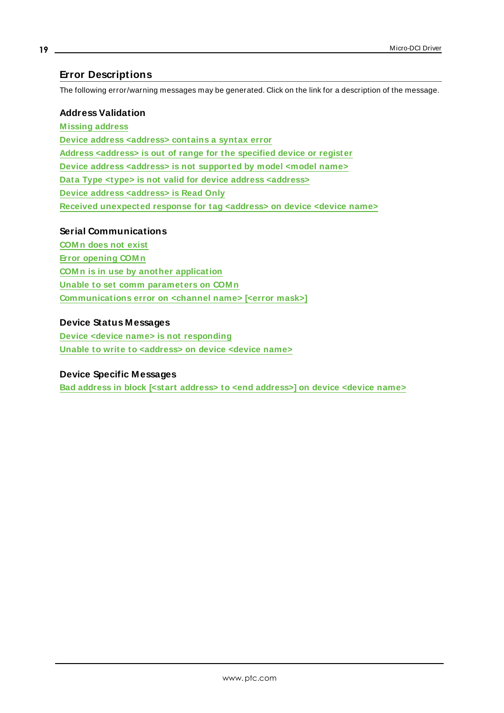# <span id="page-18-0"></span>**Error Descriptions**

The following error/warning messages may be generated. Click on the link for a description of the message.

#### **Address Validation**

**[M issing](#page-19-0) address Device address [<address>](#page-19-1) contains a syntax error Address [<address>](#page-19-2) is out of range for the specified device or register Device address <address> is not [supported](#page-19-3) by model <model name> Data Type <type> is not valid for device address [<address>](#page-19-4) Device address [<address>](#page-20-0) is Read Only Received [unexpected](#page-20-1) response for tag <address> on device <device name>**

#### **Serial Communications**

**[COM n](#page-20-2) does not exist Error [opening](#page-21-0) COM n COM n is in use by another [application](#page-21-1) Unable to set comm [parameters](#page-21-2) on COM n [Communications](#page-21-3) error on <channel name> [<error mask>]**

## **Device Status Messages**

**Device <device name> is not [responding](#page-22-0) Unable to write to [<address>](#page-22-1) on device <device name>**

## **Device Specific Messages**

**Bad address in block [<start address> to <end [address>\]](#page-23-0) on device <device name>**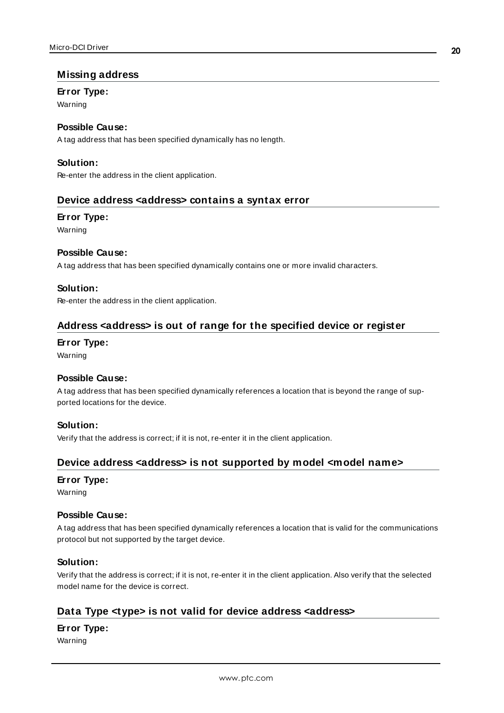# <span id="page-19-0"></span>**Missing address**

#### **Error Type:**

Warning

# **Possible Cause:**

A tag address that has been specified dynamically has no length.

# **Solution:**

<span id="page-19-1"></span>Re-enter the address in the client application.

## **Device address <address> contains a syntax error**

## **Error Type:**

Warning

#### **Possible Cause:**

A tag address that has been specified dynamically contains one or more invalid characters.

## **Solution:**

<span id="page-19-2"></span>Re-enter the address in the client application.

# **Address <address> is out of range for the specified device or register**

#### **Error Type:**

Warning

#### **Possible Cause:**

A tag address that has been specified dynamically references a location that is beyond the range of supported locations for the device.

# **Solution:**

<span id="page-19-3"></span>Verify that the address is correct; if it is not, re-enter it in the client application.

# **Device address <address> is not supported by model <model name>**

#### **Error Type:**

Warning

#### **Possible Cause:**

A tag address that has been specified dynamically references a location that is valid for the communications protocol but not supported by the target device.

#### **Solution:**

Verify that the address is correct; if it is not, re-enter it in the client application. Also verify that the selected model name for the device is correct.

# <span id="page-19-4"></span>**Data Type <type> is not valid for device address <address>**

# **Error Type:**

Warning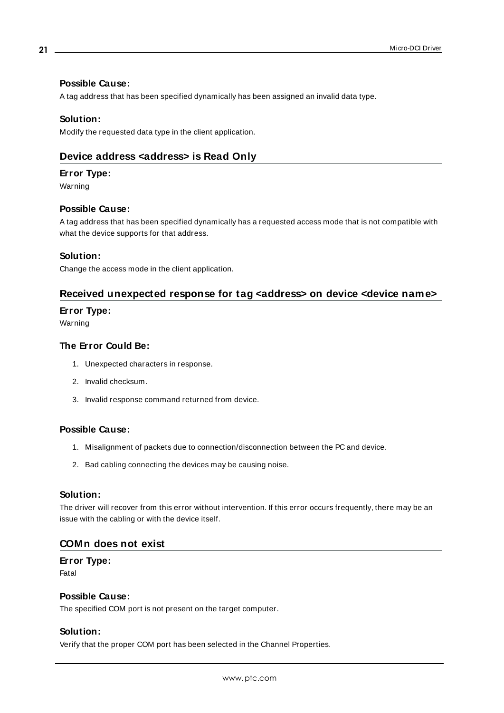## **Possible Cause:**

A tag address that has been specified dynamically has been assigned an invalid data type.

#### **Solution:**

<span id="page-20-0"></span>Modify the requested data type in the client application.

# **Device address <address> is Read Only**

#### **Error Type:**

Warning

#### **Possible Cause:**

A tag address that has been specified dynamically has a requested access mode that is not compatible with what the device supports for that address.

#### **Solution:**

<span id="page-20-1"></span>Change the access mode in the client application.

# **Received unexpected response for tag <address> on device <device name>**

#### **Error Type:**

Warning

#### **The Error Could Be:**

- 1. Unexpected characters in response.
- 2. Invalid checksum.
- 3. Invalid response command returned from device.

#### **Possible Cause:**

- 1. Misalignment of packets due to connection/disconnection between the PC and device.
- 2. Bad cabling connecting the devices may be causing noise.

#### **Solution:**

The driver will recover from this error without intervention. If this error occurs frequently, there may be an issue with the cabling or with the device itself.

#### <span id="page-20-2"></span>**COMn does not exist**

# **Error Type:**

Fatal

#### **Possible Cause:**

The specified COM port is not present on the target computer.

#### **Solution:**

Verify that the proper COM port has been selected in the Channel Properties.

**21**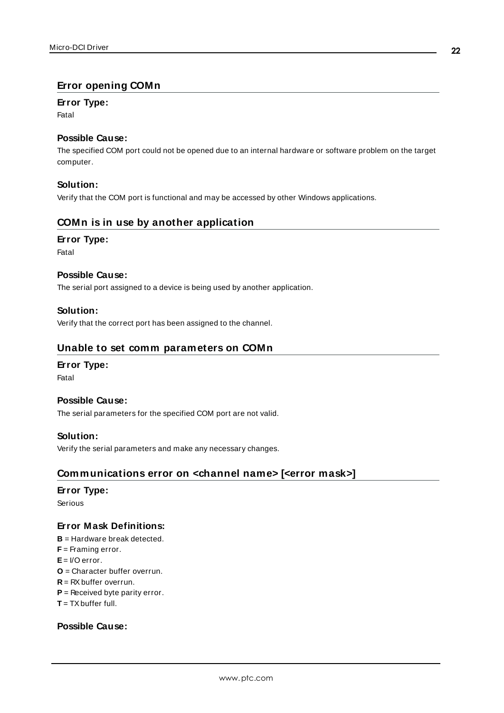# <span id="page-21-0"></span>**Error opening COMn**

# **Error Type:**

Fatal

# **Possible Cause:**

The specified COM port could not be opened due to an internal hardware or software problem on the target computer.

# **Solution:**

<span id="page-21-1"></span>Verify that the COM port is functional and may be accessed by other Windows applications.

# **COMn is in use by another application**

#### **Error Type:**

Fatal

# **Possible Cause:**

The serial port assigned to a device is being used by another application.

# **Solution:**

<span id="page-21-2"></span>Verify that the correct port has been assigned to the channel.

# **Unable to set comm parameters on COMn**

#### **Error Type:**

Fatal

#### **Possible Cause:**

The serial parameters for the specified COM port are not valid.

#### **Solution:**

<span id="page-21-3"></span>Verify the serial parameters and make any necessary changes.

# **Communications error on <channel name> [<error mask>]**

#### **Error Type:**

Serious

# **Error Mask Definitions:**

- <span id="page-21-4"></span>**B** = Hardware break detected.
- **F** = Framing error.
- <span id="page-21-5"></span>**E**= I/O error.
- **O** = Character buffer overrun.
- <span id="page-21-6"></span>**R** = RXbuffer overrun.
- **P** = Received byte parity error.
- **T** = TXbuffer full.

# **Possible Cause:**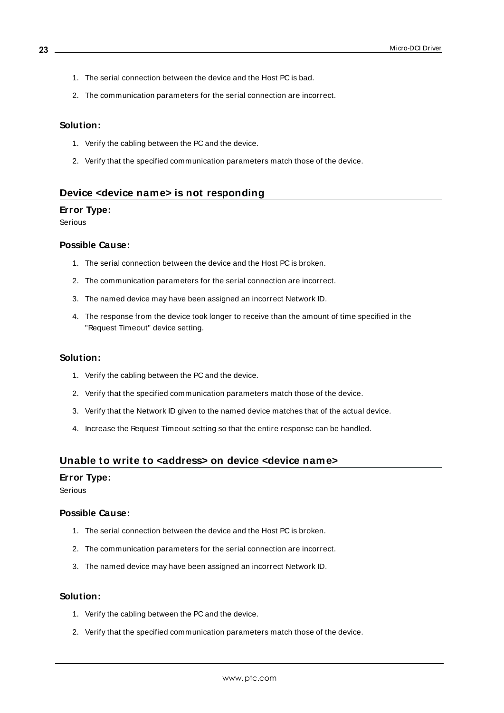- 1. The serial connection between the device and the Host PC is bad.
- 2. The communication parameters for the serial connection are incorrect.

#### **Solution:**

- 1. Verify the cabling between the PC and the device.
- 2. Verify that the specified communication parameters match those of the device.

#### <span id="page-22-0"></span>**Device <device name> is not responding**

#### **Error Type:**

Serious

#### **Possible Cause:**

- 1. The serial connection between the device and the Host PC is broken.
- 2. The communication parameters for the serial connection are incorrect.
- 3. The named device may have been assigned an incorrect Network ID.
- 4. The response from the device took longer to receive than the amount of time specified in the "Request Timeout" device setting.

#### **Solution:**

- 1. Verify the cabling between the PC and the device.
- 2. Verify that the specified communication parameters match those of the device.
- 3. Verify that the Network ID given to the named device matches that of the actual device.
- 4. Increase the Request Timeout setting so that the entire response can be handled.

## <span id="page-22-1"></span>**Unable to write to <address> on device <device name>**

#### **Error Type:**

Serious

#### **Possible Cause:**

- 1. The serial connection between the device and the Host PC is broken.
- 2. The communication parameters for the serial connection are incorrect.
- 3. The named device may have been assigned an incorrect Network ID.

#### **Solution:**

- 1. Verify the cabling between the PC and the device.
- 2. Verify that the specified communication parameters match those of the device.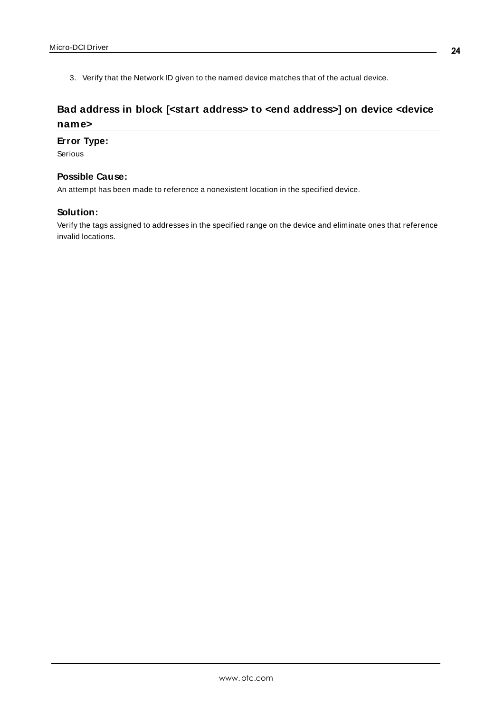3. Verify that the Network ID given to the named device matches that of the actual device.

# <span id="page-23-0"></span>**Bad address in block [<start address> to <end address>] on device <device name>**

#### **Error Type:**

Serious

## **Possible Cause:**

An attempt has been made to reference a nonexistent location in the specified device.

## **Solution:**

Verify the tags assigned to addresses in the specified range on the device and eliminate ones that reference invalid locations.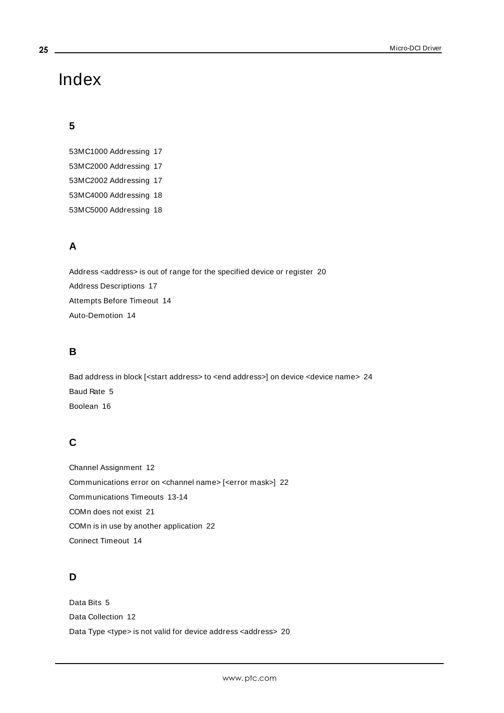# <span id="page-24-0"></span>Index

# **5**

53MC1000 Addressing [17](#page-16-1) 53MC2000 Addressing [17](#page-16-2) 53MC2002 Addressing [17](#page-16-3) 53MC4000 Addressing [18](#page-17-0) 53MC5000 Addressing [18](#page-17-1)

# **A**

Address <address> is out of range for the specified device or register [20](#page-19-2) Address Descriptions [17](#page-16-0) Attempts Before Timeout [14](#page-13-1) Auto-Demotion [14](#page-13-0)

# **B**

Bad address in block [<start address> to <end address>] on device <device name> [24](#page-23-0) Baud Rate [5](#page-4-1) Boolean [16](#page-15-1)

# **C**

Channel Assignment [12](#page-11-1) Communications error on <channel name> [<error mask>] [22](#page-21-3) Communications Timeouts [13-14](#page-12-2) COMn does not exist [21](#page-20-2) COMn is in use by another application [22](#page-21-1) Connect Timeout [14](#page-13-2)

# **D**

Data Bits [5](#page-4-2) Data Collection [12](#page-11-2) Data Type <type> is not valid for device address <address> [20](#page-19-4)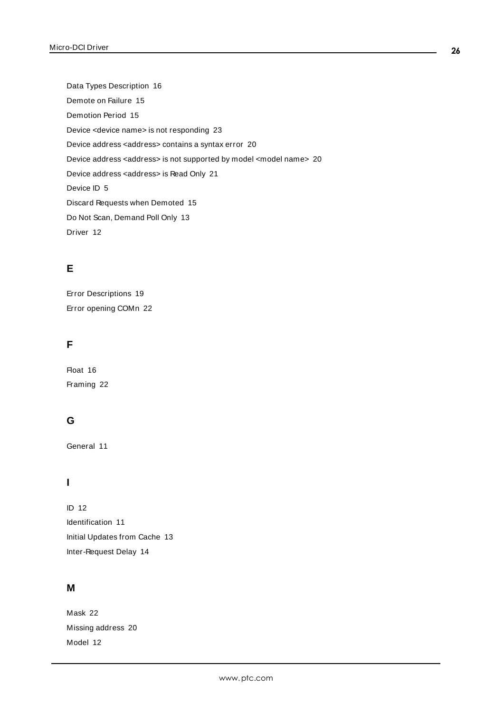Data Types Description [16](#page-15-0) Demote on Failure [15](#page-14-2) Demotion Period [15](#page-14-3) Device <device name> is not responding [23](#page-22-0) Device address <address> contains a syntax error [20](#page-19-1) Device address <address> is not supported by model <model name> [20](#page-19-3) Device address <address> is Read Only [21](#page-20-0) Device ID [5](#page-4-3) Discard Requests when Demoted [15](#page-14-4) Do Not Scan, Demand Poll Only [13](#page-12-3) Driver [12](#page-11-3)

# **E**

Error Descriptions [19](#page-18-0) Error opening COMn [22](#page-21-0)

# **F**

Float [16](#page-15-2) Framing [22](#page-21-4)

# **G**

General [11](#page-10-1)

# **I**

ID [12](#page-11-4) Identification [11](#page-10-1) Initial Updates from Cache [13](#page-12-4) Inter-Request Delay [14](#page-13-3)

# **M**

Mask [22](#page-21-3) Missing address [20](#page-19-0) Model [12](#page-11-5)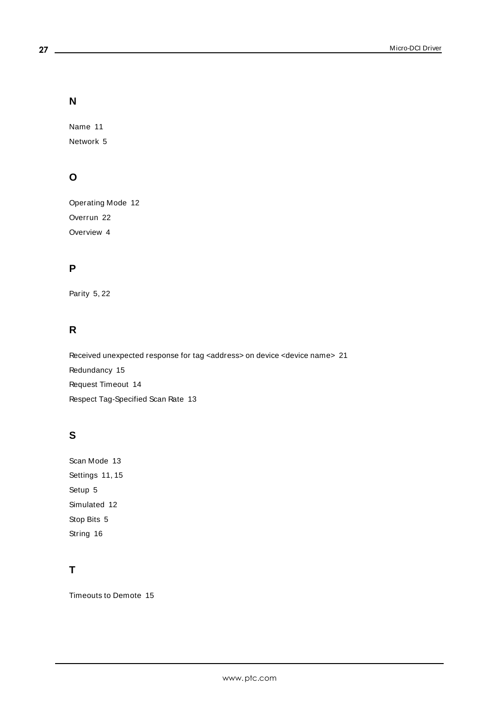# **N**

Name [11](#page-10-2) Network [5](#page-4-4)

# **O**

Operating Mode [12](#page-11-0) Overrun [22](#page-21-5) Overview [4](#page-3-1)

# **P**

Parity [5,](#page-4-5) [22](#page-21-6)

# **R**

Received unexpected response for tag <address> on device <device name> [21](#page-20-1) Redundancy [15](#page-14-1) Request Timeout [14](#page-13-4) Respect Tag-Specified Scan Rate [13](#page-12-5)

# **S**

Scan Mode [13](#page-12-6) Settings [11](#page-10-0), [15](#page-14-0) Setup [5](#page-4-0) Simulated [12](#page-11-6) Stop Bits [5](#page-4-6) String [16](#page-15-3)

# **T**

Timeouts to Demote [15](#page-14-5)